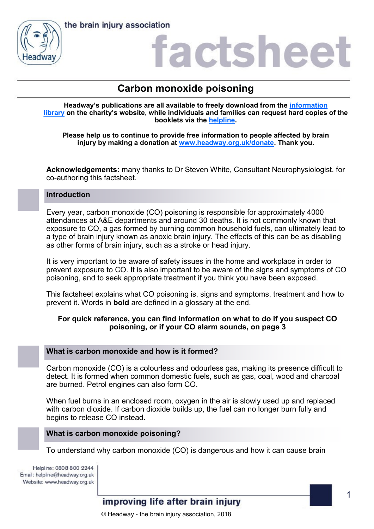



# actshee

# **Carbon monoxide poisoning**

**Headway's publications are all available to freely download from the [information](https://www.headway.org.uk/about-brain-injury/individuals/information-library/)  [library](https://www.headway.org.uk/about-brain-injury/individuals/information-library/) on the charity's website, while individuals and families can request hard copies of the booklets via the [helpline.](https://www.headway.org.uk/supporting-you/helpline/)**

**Please help us to continue to provide free information to people affected by brain injury by making a donation at [www.headway.org.uk/donate.](http://www.headway.org.uk/donate) Thank you.**

**Acknowledgements:** many thanks to Dr Steven White, Consultant Neurophysiologist, for co-authoring this factsheet.

#### **Introduction**

Every year, carbon monoxide (CO) poisoning is responsible for approximately 4000 attendances at A&E departments and around 30 deaths. It is not commonly known that exposure to CO, a gas formed by burning common household fuels, can ultimately lead to a type of brain injury known as anoxic brain injury. The effects of this can be as disabling as other forms of brain injury, such as a stroke or head injury.

It is very important to be aware of safety issues in the home and workplace in order to prevent exposure to CO. It is also important to be aware of the signs and symptoms of CO poisoning, and to seek appropriate treatment if you think you have been exposed.

This factsheet explains what CO poisoning is, signs and symptoms, treatment and how to prevent it. Words in **bold** are defined in a glossary at the end.

## **For quick reference, you can find information on what to do if you suspect CO poisoning, or if your CO alarm sounds, on page 3**

## **What is carbon monoxide and how is it formed?**

Carbon monoxide (CO) is a colourless and odourless gas, making its presence difficult to detect. It is formed when common domestic fuels, such as gas, coal, wood and charcoal are burned. Petrol engines can also form CO.

When fuel burns in an enclosed room, oxygen in the air is slowly used up and replaced with carbon dioxide. If carbon dioxide builds up, the fuel can no longer burn fully and begins to release CO instead.

#### **What is carbon monoxide poisoning?**

To understand why carbon monoxide (CO) is dangerous and how it can cause brain

Helpline: 0808 800 2244 Email: helpline@headway.org.uk Website: www.headway.org.uk

improving life after brain injury

© Headway - the brain injury association, 2018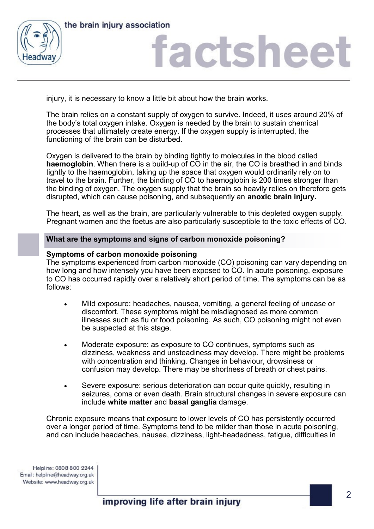



# factshee<sup>®</sup>

injury, it is necessary to know a little bit about how the brain works.

The brain relies on a constant supply of oxygen to survive. Indeed, it uses around 20% of the body's total oxygen intake. Oxygen is needed by the brain to sustain chemical processes that ultimately create energy. If the oxygen supply is interrupted, the functioning of the brain can be disturbed.

Oxygen is delivered to the brain by binding tightly to molecules in the blood called **haemoglobin**. When there is a build-up of CO in the air, the CO is breathed in and binds tightly to the haemoglobin, taking up the space that oxygen would ordinarily rely on to travel to the brain. Further, the binding of CO to haemoglobin is 200 times stronger than the binding of oxygen. The oxygen supply that the brain so heavily relies on therefore gets disrupted, which can cause poisoning, and subsequently an **anoxic brain injury.** 

The heart, as well as the brain, are particularly vulnerable to this depleted oxygen supply. Pregnant women and the foetus are also particularly susceptible to the toxic effects of CO.

## **What are the symptoms and signs of carbon monoxide poisoning?**

#### **Symptoms of carbon monoxide poisoning**

The symptoms experienced from carbon monoxide (CO) poisoning can vary depending on how long and how intensely you have been exposed to CO. In acute poisoning, exposure to CO has occurred rapidly over a relatively short period of time. The symptoms can be as follows:

- Mild exposure: headaches, nausea, vomiting, a general feeling of unease or discomfort. These symptoms might be misdiagnosed as more common illnesses such as flu or food poisoning. As such, CO poisoning might not even be suspected at this stage.
- Moderate exposure: as exposure to CO continues, symptoms such as dizziness, weakness and unsteadiness may develop. There might be problems with concentration and thinking. Changes in behaviour, drowsiness or confusion may develop. There may be shortness of breath or chest pains.
- Severe exposure: serious deterioration can occur quite quickly, resulting in seizures, coma or even death. Brain structural changes in severe exposure can include **white matter** and **basal ganglia** damage.

Chronic exposure means that exposure to lower levels of CO has persistently occurred over a longer period of time. Symptoms tend to be milder than those in acute poisoning, and can include headaches, nausea, dizziness, light-headedness, fatigue, difficulties in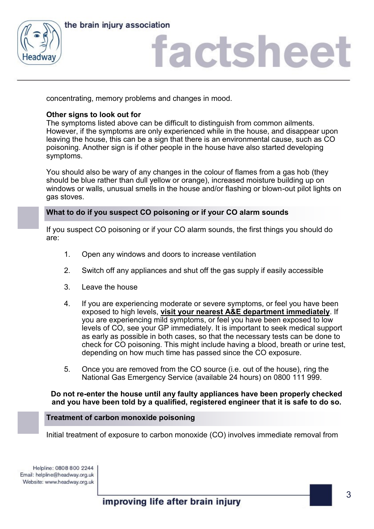



# actshee

concentrating, memory problems and changes in mood.

# **Other signs to look out for**

The symptoms listed above can be difficult to distinguish from common ailments. However, if the symptoms are only experienced while in the house, and disappear upon leaving the house, this can be a sign that there is an environmental cause, such as CO poisoning. Another sign is if other people in the house have also started developing symptoms.

You should also be wary of any changes in the colour of flames from a gas hob (they should be blue rather than dull yellow or orange), increased moisture building up on windows or walls, unusual smells in the house and/or flashing or blown-out pilot lights on gas stoves.

# **What to do if you suspect CO poisoning or if your CO alarm sounds**

If you suspect CO poisoning or if your CO alarm sounds, the first things you should do are:

- 1. Open any windows and doors to increase ventilation
- 2. Switch off any appliances and shut off the gas supply if easily accessible
- 3. Leave the house
- 4. If you are experiencing moderate or severe symptoms, or feel you have been exposed to high levels, **visit your nearest A&E department immediately**. If you are experiencing mild symptoms, or feel you have been exposed to low levels of CO, see your GP immediately. It is important to seek medical support as early as possible in both cases, so that the necessary tests can be done to check for CO poisoning. This might include having a blood, breath or urine test, depending on how much time has passed since the CO exposure.
- 5. Once you are removed from the CO source (i.e. out of the house), ring the National Gas Emergency Service (available 24 hours) on 0800 111 999.

#### **Do not re-enter the house until any faulty appliances have been properly checked and you have been told by a qualified, registered engineer that it is safe to do so.**

#### **Treatment of carbon monoxide poisoning**

Initial treatment of exposure to carbon monoxide (CO) involves immediate removal from

Helpline: 0808 800 2244 Email: helpline@headway.org.uk Website: www.headway.org.uk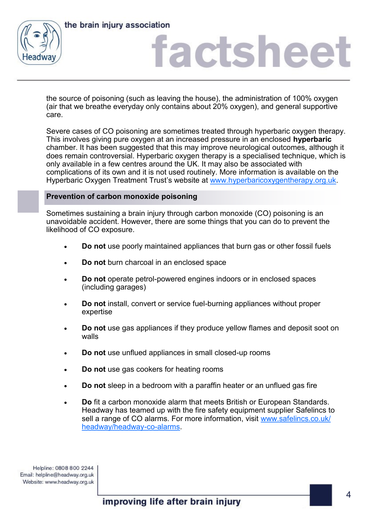



# actshee

the source of poisoning (such as leaving the house), the administration of 100% oxygen (air that we breathe everyday only contains about 20% oxygen), and general supportive care.

Severe cases of CO poisoning are sometimes treated through hyperbaric oxygen therapy. This involves giving pure oxygen at an increased pressure in an enclosed **hyperbaric** chamber. It has been suggested that this may improve neurological outcomes, although it does remain controversial. Hyperbaric oxygen therapy is a specialised technique, which is only available in a few centres around the UK. It may also be associated with complications of its own and it is not used routinely. More information is available on the Hyperbaric Oxygen Treatment Trust's website at [www.hyperbaricoxygentherapy.org.uk.](https://www.hyperbaricoxygentherapy.org.uk/find-chamber) 

## **Prevention of carbon monoxide poisoning**

Sometimes sustaining a brain injury through carbon monoxide (CO) poisoning is an unavoidable accident. However, there are some things that you can do to prevent the likelihood of CO exposure.

- **Do not** use poorly maintained appliances that burn gas or other fossil fuels
- **Do not** burn charcoal in an enclosed space
- **Do not** operate petrol-powered engines indoors or in enclosed spaces (including garages)
- **Do not** install, convert or service fuel-burning appliances without proper expertise
- **Do not** use gas appliances if they produce yellow flames and deposit soot on walls
- **Do not** use unflued appliances in small closed-up rooms
- **Do not** use gas cookers for heating rooms
- **Do not** sleep in a bedroom with a paraffin heater or an unflued gas fire
- **Do** fit a carbon monoxide alarm that meets British or European Standards. Headway has teamed up with the fire safety equipment supplier Safelincs to sell a range of CO alarms. For more information, visit [www.safelincs.co.uk/](http://www.safelincs.co.uk/headway/headway-co-alarms/C:/Users/publications/Documents/Application%20form%20scans) [headway/headway](http://www.safelincs.co.uk/headway/headway-co-alarms/C:/Users/publications/Documents/Application%20form%20scans)-co-alarms.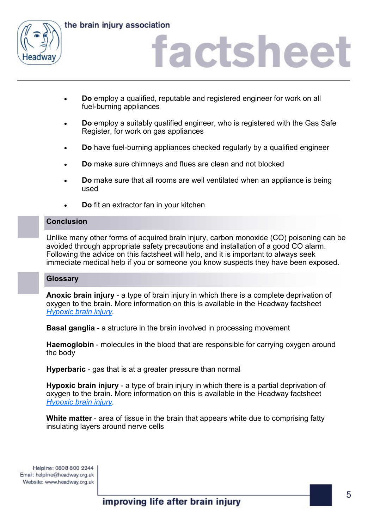

the brain injury association

# actshee

- **Do** employ a qualified, reputable and registered engineer for work on all fuel-burning appliances
- **Do** employ a suitably qualified engineer, who is registered with the Gas Safe Register, for work on gas appliances
- **Do** have fuel-burning appliances checked regularly by a qualified engineer
- **Do** make sure chimneys and flues are clean and not blocked
- **Do** make sure that all rooms are well ventilated when an appliance is being used
- **Do** fit an extractor fan in your kitchen

## **Conclusion**

Unlike many other forms of acquired brain injury, carbon monoxide (CO) poisoning can be avoided through appropriate safety precautions and installation of a good CO alarm. Following the advice on this factsheet will help, and it is important to always seek immediate medical help if you or someone you know suspects they have been exposed.

## **Glossary**

**Anoxic brain injury** - a type of brain injury in which there is a complete deprivation of oxygen to the brain. More information on this is available in the Headway factsheet *[Hypoxic brain injury.](https://www.headway.org.uk/media/2804/hypoxic-brain-injury-factsheet.pdf)* 

**Basal ganglia** - a structure in the brain involved in processing movement

**Haemoglobin** - molecules in the blood that are responsible for carrying oxygen around the body

**Hyperbaric** - gas that is at a greater pressure than normal

**Hypoxic brain injury** - a type of brain injury in which there is a partial deprivation of oxygen to the brain. More information on this is available in the Headway factsheet *[Hypoxic brain injury.](https://www.headway.org.uk/media/2804/hypoxic-brain-injury-factsheet.pdf)* 

**White matter** - area of tissue in the brain that appears white due to comprising fatty insulating layers around nerve cells